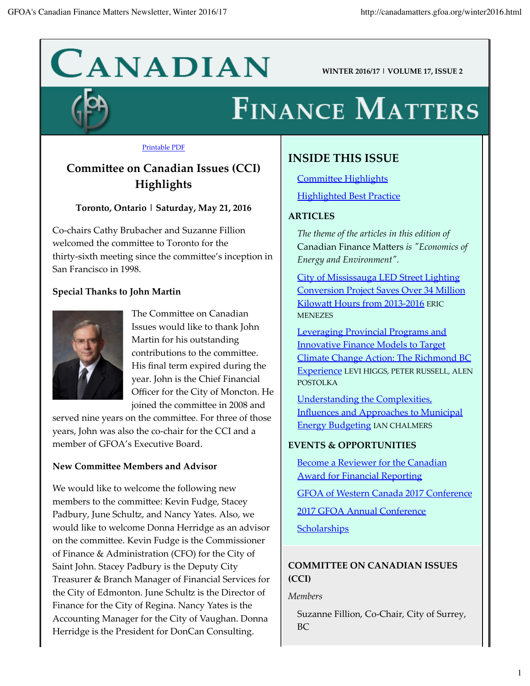# $CANDIAN$  WINTER 2016/17 | VOLUME 17, ISSUE 2

## **FINANCE MATTERS**

#### **Printable PDF**

## **Committee on Canadian Issues (CCI)** Highlights

#### Toronto, Ontario | Saturday, May 21, 2016

Co-chairs Cathy Brubacher and Suzanne Fillion welcomed the committee to Toronto for the thirty-sixth meeting since the committee's inception in San Francisco in 1998.

#### **Special Thanks to John Martin**



The Committee on Canadian Issues would like to thank John Martin for his outstanding contributions to the committee. His final term expired during the year. John is the Chief Financial Officer for the City of Moncton. He joined the committee in 2008 and

served nine years on the committee. For three of those years, John was also the co-chair for the CCI and a member of GFOA's Executive Board.

#### New Committee Members and Advisor

We would like to welcome the following new members to the committee: Kevin Fudge, Stacey Padbury, June Schultz, and Nancy Yates. Also, we would like to welcome Donna Herridge as an advisor on the committee. Kevin Fudge is the Commissioner of Finance & Administration (CFO) for the City of Saint John. Stacey Padbury is the Deputy City Treasurer & Branch Manager of Financial Services for the City of Edmonton. June Schultz is the Director of Finance for the City of Regina. Nancy Yates is the Accounting Manager for the City of Vaughan. Donna Herridge is the President for DonCan Consulting.

## **INSIDE THIS ISSUE**

**Committee Highlights Highlighted Best Practice** 

#### **ARTICLES**

The theme of the articles in this edition of Canadian Finance Matters is "Economics of Energy and Environment".

**City of Mississauga LED Street Lighting Conversion Project Saves Over 34 Million** Kilowatt Hours from 2013-2016 ERIC **MENEZES** 

**Leveraging Provincial Programs and Innovative Finance Models to Target** Climate Change Action: The Richmond BC Experience LEVI HIGGS, PETER RUSSELL, ALEN **POSTOLKA** 

**Understanding the Complexities** Influences and Approaches to Municipal **Energy Budgeting IAN CHALMERS** 

#### **EVENTS & OPPORTUNITIES**

Become a Reviewer for the Canadian **Award for Financial Reporting** 

GFOA of Western Canada 2017 Conference

2017 GFOA Annual Conference

Scholarships

## **COMMITTEE ON CANADIAN ISSUES**  $(CCI)$

**Members** 

Suzanne Fillion, Co-Chair, City of Surrey, **BC**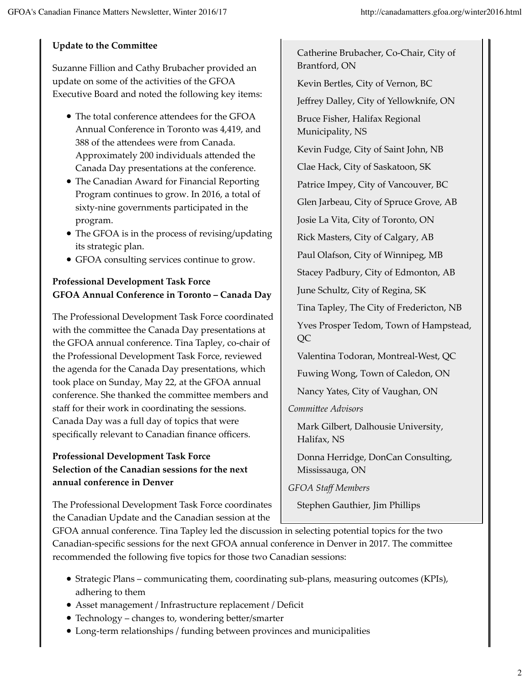#### **Update to the Committee**

Suzanne Fillion and Cathy Brubacher provided an update on some of the activities of the GFOA Executive Board and noted the following key items:

- The total conference attendees for the GFOA Annual Conference in Toronto was 4,419, and 388 of the attendees were from Canada. Approximately 200 individuals attended the Canada Day presentations at the conference.
- The Canadian Award for Financial Reporting Program continues to grow. In 2016, a total of sixty-nine governments participated in the program.
- The GFOA is in the process of revising/updating its strategic plan.
- GFOA consulting services continue to grow.

## **Professional Development Task Force** GFOA Annual Conference in Toronto - Canada Day

The Professional Development Task Force coordinated with the committee the Canada Day presentations at the GFOA annual conference. Tina Tapley, co-chair of the Professional Development Task Force, reviewed the agenda for the Canada Day presentations, which took place on Sunday, May 22, at the GFOA annual conference. She thanked the committee members and staff for their work in coordinating the sessions. Canada Day was a full day of topics that were specifically relevant to Canadian finance officers.

#### **Professional Development Task Force** Selection of the Canadian sessions for the next annual conference in Denver

The Professional Development Task Force coordinates the Canadian Update and the Canadian session at the

Catherine Brubacher, Co-Chair, City of Brantford, ON Kevin Bertles, City of Vernon, BC Jeffrey Dalley, City of Yellowknife, ON Bruce Fisher, Halifax Regional Municipality, NS Kevin Fudge, City of Saint John, NB Clae Hack, City of Saskatoon, SK Patrice Impey, City of Vancouver, BC Glen Jarbeau, City of Spruce Grove, AB Josie La Vita, City of Toronto, ON Rick Masters, City of Calgary, AB Paul Olafson, City of Winnipeg, MB Stacey Padbury, City of Edmonton, AB June Schultz, City of Regina, SK Tina Tapley, The City of Fredericton, NB Yves Prosper Tedom, Town of Hampstead, QC Valentina Todoran, Montreal-West, QC Fuwing Wong, Town of Caledon, ON Nancy Yates, City of Vaughan, ON Committee Advisors

Mark Gilbert, Dalhousie University, Halifax, NS

Donna Herridge, DonCan Consulting, Mississauga, ON

**GFOA Staff Members** 

Stephen Gauthier, Jim Phillips

GFOA annual conference. Tina Tapley led the discussion in selecting potential topics for the two Canadian-specific sessions for the next GFOA annual conference in Denver in 2017. The committee recommended the following five topics for those two Canadian sessions:

- Strategic Plans communicating them, coordinating sub-plans, measuring outcomes (KPIs), adhering to them
- Asset management / Infrastructure replacement / Deficit
- Technology changes to, wondering better/smarter
- Long-term relationships / funding between provinces and municipalities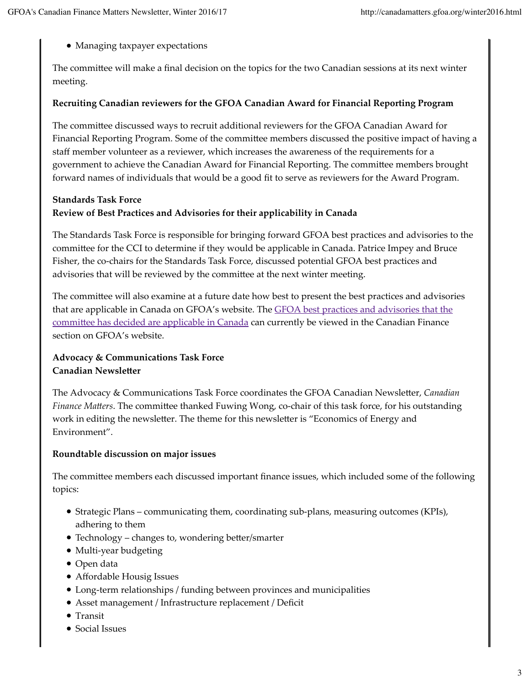• Managing taxpayer expectations

The committee will make a final decision on the topics for the two Canadian sessions at its next winter meeting.

#### Recruiting Canadian reviewers for the GFOA Canadian Award for Financial Reporting Program

The committee discussed ways to recruit additional reviewers for the GFOA Canadian Award for Financial Reporting Program. Some of the committee members discussed the positive impact of having a staff member volunteer as a reviewer, which increases the awareness of the requirements for a government to achieve the Canadian Award for Financial Reporting. The committee members brought forward names of individuals that would be a good fit to serve as reviewers for the Award Program.

#### **Standards Task Force** Review of Best Practices and Advisories for their applicability in Canada

The Standards Task Force is responsible for bringing forward GFOA best practices and advisories to the committee for the CCI to determine if they would be applicable in Canada. Patrice Impey and Bruce Fisher, the co-chairs for the Standards Task Force, discussed potential GFOA best practices and advisories that will be reviewed by the committee at the next winter meeting.

The committee will also examine at a future date how best to present the best practices and advisories that are applicable in Canada on GFOA's website. The **GFOA** best practices and advisories that the committee has decided are applicable in Canada can currently be viewed in the Canadian Finance section on GFOA's website.

#### **Advocacy & Communications Task Force Canadian Newsletter**

The Advocacy & Communications Task Force coordinates the GFOA Canadian Newsletter, Canadian *Finance Matters.* The committee thanked Fuwing Wong, co-chair of this task force, for his outstanding work in editing the newsletter. The theme for this newsletter is "Economics of Energy and Environment".

#### Roundtable discussion on major issues

The committee members each discussed important finance issues, which included some of the following topics:

- Strategic Plans communicating them, coordinating sub-plans, measuring outcomes (KPIs), adhering to them
- Technology changes to, wondering better/smarter
- Multi-year budgeting
- Open data
- Affordable Housig Issues
- Long-term relationships / funding between provinces and municipalities
- Asset management / Infrastructure replacement / Deficit
- Transit
- Social Issues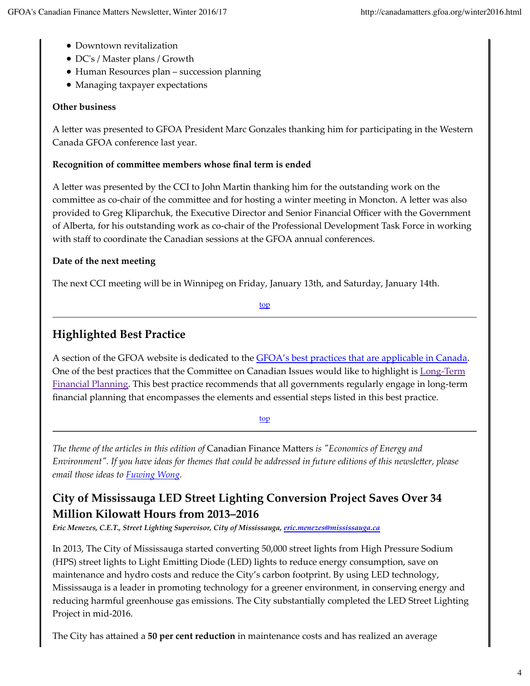- Downtown revitalization
- DC's / Master plans / Growth
- Human Resources plan succession planning
- Managing taxpayer expectations

#### **Other business**

A letter was presented to GFOA President Marc Gonzales thanking him for participating in the Western Canada GFOA conference last year.

#### Recognition of committee members whose final term is ended

A letter was presented by the CCI to John Martin thanking him for the outstanding work on the committee as co-chair of the committee and for hosting a winter meeting in Moncton. A letter was also provided to Greg Kliparchuk, the Executive Director and Senior Financial Officer with the Government of Alberta, for his outstanding work as co-chair of the Professional Development Task Force in working with staff to coordinate the Canadian sessions at the GFOA annual conferences.

#### Date of the next meeting

The next CCI meeting will be in Winnipeg on Friday, January 13th, and Saturday, January 14th.

<u>top</u>

## **Highlighted Best Practice**

A section of the GFOA website is dedicated to the GFOA's best practices that are applicable in Canada. One of the best practices that the Committee on Canadian Issues would like to highlight is Long-Term Financial Planning. This best practice recommends that all governments regularly engage in long-term financial planning that encompasses the elements and essential steps listed in this best practice.

top

The theme of the articles in this edition of Canadian Finance Matters is "Economics of Energy and Environment". If you have ideas for themes that could be addressed in future editions of this newsletter, please email those ideas to *Fuwing Wong*.

## City of Mississauga LED Street Lighting Conversion Project Saves Over 34 **Million Kilowatt Hours from 2013–2016**

Eric Menezes, C.E.T., Street Lighting Supervisor, City of Mississauga, eric.menezes@mississauga.ca

In 2013, The City of Mississauga started converting 50,000 street lights from High Pressure Sodium (HPS) street lights to Light Emitting Diode (LED) lights to reduce energy consumption, save on maintenance and hydro costs and reduce the City's carbon footprint. By using LED technology, Mississauga is a leader in promoting technology for a greener environment, in conserving energy and reducing harmful greenhouse gas emissions. The City substantially completed the LED Street Lighting Project in mid-2016.

The City has attained a 50 per cent reduction in maintenance costs and has realized an average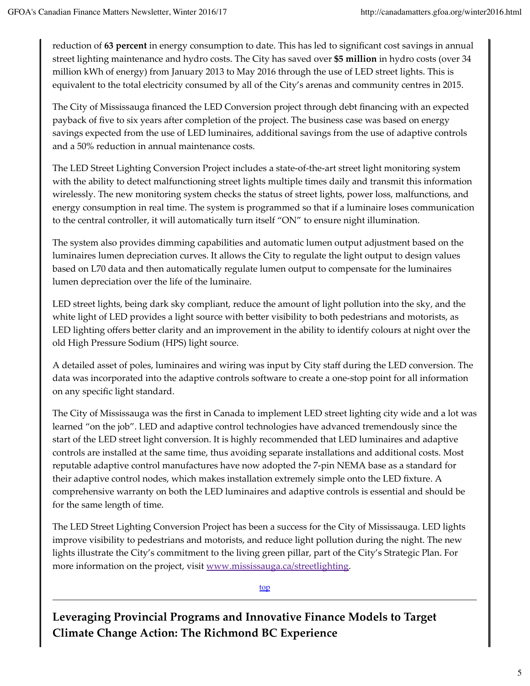reduction of 63 percent in energy consumption to date. This has led to significant cost savings in annual street lighting maintenance and hydro costs. The City has saved over \$5 million in hydro costs (over 34 million kWh of energy) from January 2013 to May 2016 through the use of LED street lights. This is equivalent to the total electricity consumed by all of the City's arenas and community centres in 2015.

The City of Mississauga financed the LED Conversion project through debt financing with an expected payback of five to six years after completion of the project. The business case was based on energy savings expected from the use of LED luminaires, additional savings from the use of adaptive controls and a 50% reduction in annual maintenance costs.

The LED Street Lighting Conversion Project includes a state-of-the-art street light monitoring system with the ability to detect malfunctioning street lights multiple times daily and transmit this information wirelessly. The new monitoring system checks the status of street lights, power loss, malfunctions, and energy consumption in real time. The system is programmed so that if a luminaire loses communication to the central controller, it will automatically turn itself "ON" to ensure night illumination.

The system also provides dimming capabilities and automatic lumen output adjustment based on the luminaires lumen depreciation curves. It allows the City to regulate the light output to design values based on L70 data and then automatically regulate lumen output to compensate for the luminaires lumen depreciation over the life of the luminaire.

LED street lights, being dark sky compliant, reduce the amount of light pollution into the sky, and the white light of LED provides a light source with better visibility to both pedestrians and motorists, as LED lighting offers better clarity and an improvement in the ability to identify colours at night over the old High Pressure Sodium (HPS) light source.

A detailed asset of poles, luminaires and wiring was input by City staff during the LED conversion. The data was incorporated into the adaptive controls software to create a one-stop point for all information on any specific light standard.

The City of Mississauga was the first in Canada to implement LED street lighting city wide and a lot was learned "on the job". LED and adaptive control technologies have advanced tremendously since the start of the LED street light conversion. It is highly recommended that LED luminaires and adaptive controls are installed at the same time, thus avoiding separate installations and additional costs. Most reputable adaptive control manufactures have now adopted the 7-pin NEMA base as a standard for their adaptive control nodes, which makes installation extremely simple onto the LED fixture. A comprehensive warranty on both the LED luminaires and adaptive controls is essential and should be for the same length of time.

The LED Street Lighting Conversion Project has been a success for the City of Mississauga. LED lights improve visibility to pedestrians and motorists, and reduce light pollution during the night. The new lights illustrate the City's commitment to the living green pillar, part of the City's Strategic Plan. For more information on the project, visit www.mississauga.ca/streetlighting.

top

Leveraging Provincial Programs and Innovative Finance Models to Target **Climate Change Action: The Richmond BC Experience**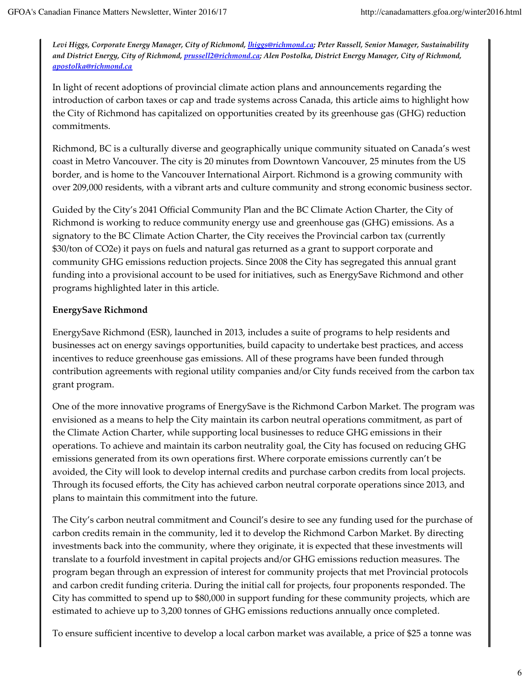Levi Higgs, Corporate Energy Manager, City of Richmond, *Ihiggs@richmond.ca; Peter Russell, Senior Manager, Sustainability* and District Energy, City of Richmond, prussell2@richmond.ca; Alen Postolka, District Energy Manager, City of Richmond, apostolka@richmond.ca

In light of recent adoptions of provincial climate action plans and announcements regarding the introduction of carbon taxes or cap and trade systems across Canada, this article aims to highlight how the City of Richmond has capitalized on opportunities created by its greenhouse gas (GHG) reduction commitments.

Richmond, BC is a culturally diverse and geographically unique community situated on Canada's west coast in Metro Vancouver. The city is 20 minutes from Downtown Vancouver, 25 minutes from the US border, and is home to the Vancouver International Airport. Richmond is a growing community with over 209,000 residents, with a vibrant arts and culture community and strong economic business sector.

Guided by the City's 2041 Official Community Plan and the BC Climate Action Charter, the City of Richmond is working to reduce community energy use and greenhouse gas (GHG) emissions. As a signatory to the BC Climate Action Charter, the City receives the Provincial carbon tax (currently \$30/ton of CO2e) it pays on fuels and natural gas returned as a grant to support corporate and community GHG emissions reduction projects. Since 2008 the City has segregated this annual grant funding into a provisional account to be used for initiatives, such as EnergySave Richmond and other programs highlighted later in this article.

#### **EnergySave Richmond**

EnergySave Richmond (ESR), launched in 2013, includes a suite of programs to help residents and businesses act on energy savings opportunities, build capacity to undertake best practices, and access incentives to reduce greenhouse gas emissions. All of these programs have been funded through contribution agreements with regional utility companies and/or City funds received from the carbon tax grant program.

One of the more innovative programs of EnergySave is the Richmond Carbon Market. The program was envisioned as a means to help the City maintain its carbon neutral operations commitment, as part of the Climate Action Charter, while supporting local businesses to reduce GHG emissions in their operations. To achieve and maintain its carbon neutrality goal, the City has focused on reducing GHG emissions generated from its own operations first. Where corporate emissions currently can't be avoided, the City will look to develop internal credits and purchase carbon credits from local projects. Through its focused efforts, the City has achieved carbon neutral corporate operations since 2013, and plans to maintain this commitment into the future.

The City's carbon neutral commitment and Council's desire to see any funding used for the purchase of carbon credits remain in the community, led it to develop the Richmond Carbon Market. By directing investments back into the community, where they originate, it is expected that these investments will translate to a fourfold investment in capital projects and/or GHG emissions reduction measures. The program began through an expression of interest for community projects that met Provincial protocols and carbon credit funding criteria. During the initial call for projects, four proponents responded. The City has committed to spend up to \$80,000 in support funding for these community projects, which are estimated to achieve up to 3,200 tonnes of GHG emissions reductions annually once completed.

To ensure sufficient incentive to develop a local carbon market was available, a price of \$25 a tonne was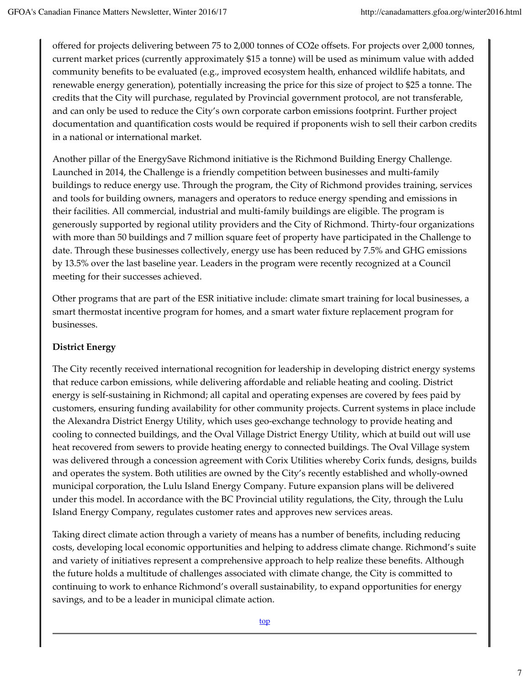offered for projects delivering between 75 to 2,000 tonnes of CO2e offsets. For projects over 2,000 tonnes, current market prices (currently approximately \$15 a tonne) will be used as minimum value with added community benefits to be evaluated (e.g., improved ecosystem health, enhanced wildlife habitats, and renewable energy generation), potentially increasing the price for this size of project to \$25 a tonne. The credits that the City will purchase, regulated by Provincial government protocol, are not transferable, and can only be used to reduce the City's own corporate carbon emissions footprint. Further project documentation and quantification costs would be required if proponents wish to sell their carbon credits in a national or international market.

Another pillar of the EnergySave Richmond initiative is the Richmond Building Energy Challenge. Launched in 2014, the Challenge is a friendly competition between businesses and multi-family buildings to reduce energy use. Through the program, the City of Richmond provides training, services and tools for building owners, managers and operators to reduce energy spending and emissions in their facilities. All commercial, industrial and multi-family buildings are eligible. The program is generously supported by regional utility providers and the City of Richmond. Thirty-four organizations with more than 50 buildings and 7 million square feet of property have participated in the Challenge to date. Through these businesses collectively, energy use has been reduced by 7.5% and GHG emissions by 13.5% over the last baseline year. Leaders in the program were recently recognized at a Council meeting for their successes achieved.

Other programs that are part of the ESR initiative include: climate smart training for local businesses, a smart thermostat incentive program for homes, and a smart water fixture replacement program for businesses.

#### **District Energy**

The City recently received international recognition for leadership in developing district energy systems that reduce carbon emissions, while delivering affordable and reliable heating and cooling. District energy is self-sustaining in Richmond; all capital and operating expenses are covered by fees paid by customers, ensuring funding availability for other community projects. Current systems in place include the Alexandra District Energy Utility, which uses geo-exchange technology to provide heating and cooling to connected buildings, and the Oval Village District Energy Utility, which at build out will use heat recovered from sewers to provide heating energy to connected buildings. The Oval Village system was delivered through a concession agreement with Corix Utilities whereby Corix funds, designs, builds and operates the system. Both utilities are owned by the City's recently established and wholly-owned municipal corporation, the Lulu Island Energy Company. Future expansion plans will be delivered under this model. In accordance with the BC Provincial utility regulations, the City, through the Lulu Island Energy Company, regulates customer rates and approves new services areas.

Taking direct climate action through a variety of means has a number of benefits, including reducing costs, developing local economic opportunities and helping to address climate change. Richmond's suite and variety of initiatives represent a comprehensive approach to help realize these benefits. Although the future holds a multitude of challenges associated with climate change, the City is committed to continuing to work to enhance Richmond's overall sustainability, to expand opportunities for energy savings, and to be a leader in municipal climate action.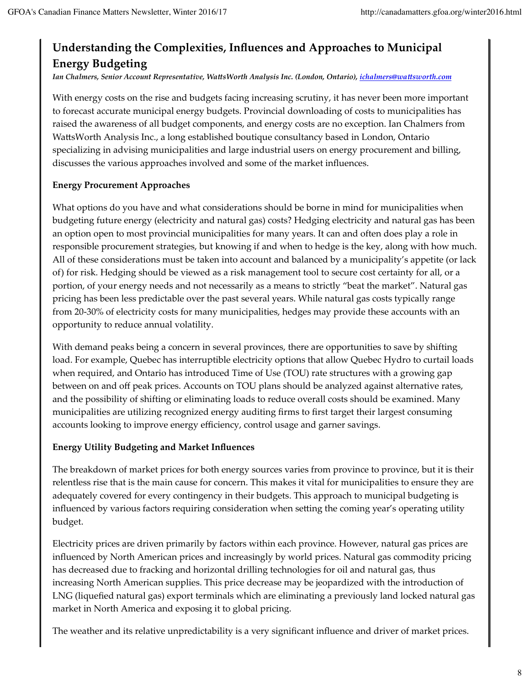## Understanding the Complexities, Influences and Approaches to Municipal **Energy Budgeting**

Ian Chalmers, Senior Account Representative, WattsWorth Analysis Inc. (London, Ontario), ichalmers@wattsworth.com

With energy costs on the rise and budgets facing increasing scrutiny, it has never been more important to forecast accurate municipal energy budgets. Provincial downloading of costs to municipalities has raised the awareness of all budget components, and energy costs are no exception. Ian Chalmers from WattsWorth Analysis Inc., a long established boutique consultancy based in London, Ontario specializing in advising municipalities and large industrial users on energy procurement and billing, discusses the various approaches involved and some of the market influences.

#### **Energy Procurement Approaches**

What options do you have and what considerations should be borne in mind for municipalities when budgeting future energy (electricity and natural gas) costs? Hedging electricity and natural gas has been an option open to most provincial municipalities for many years. It can and often does play a role in responsible procurement strategies, but knowing if and when to hedge is the key, along with how much. All of these considerations must be taken into account and balanced by a municipality's appetite (or lack of) for risk. Hedging should be viewed as a risk management tool to secure cost certainty for all, or a portion, of your energy needs and not necessarily as a means to strictly "beat the market". Natural gas pricing has been less predictable over the past several years. While natural gas costs typically range from 20-30% of electricity costs for many municipalities, hedges may provide these accounts with an opportunity to reduce annual volatility.

With demand peaks being a concern in several provinces, there are opportunities to save by shifting load. For example, Quebec has interruptible electricity options that allow Quebec Hydro to curtail loads when required, and Ontario has introduced Time of Use (TOU) rate structures with a growing gap between on and off peak prices. Accounts on TOU plans should be analyzed against alternative rates, and the possibility of shifting or eliminating loads to reduce overall costs should be examined. Many municipalities are utilizing recognized energy auditing firms to first target their largest consuming accounts looking to improve energy efficiency, control usage and garner savings.

#### **Energy Utility Budgeting and Market Influences**

The breakdown of market prices for both energy sources varies from province to province, but it is their relentless rise that is the main cause for concern. This makes it vital for municipalities to ensure they are adequately covered for every contingency in their budgets. This approach to municipal budgeting is influenced by various factors requiring consideration when setting the coming year's operating utility budget.

Electricity prices are driven primarily by factors within each province. However, natural gas prices are influenced by North American prices and increasingly by world prices. Natural gas commodity pricing has decreased due to fracking and horizontal drilling technologies for oil and natural gas, thus increasing North American supplies. This price decrease may be jeopardized with the introduction of LNG (liquefied natural gas) export terminals which are eliminating a previously land locked natural gas market in North America and exposing it to global pricing.

The weather and its relative unpredictability is a very significant influence and driver of market prices.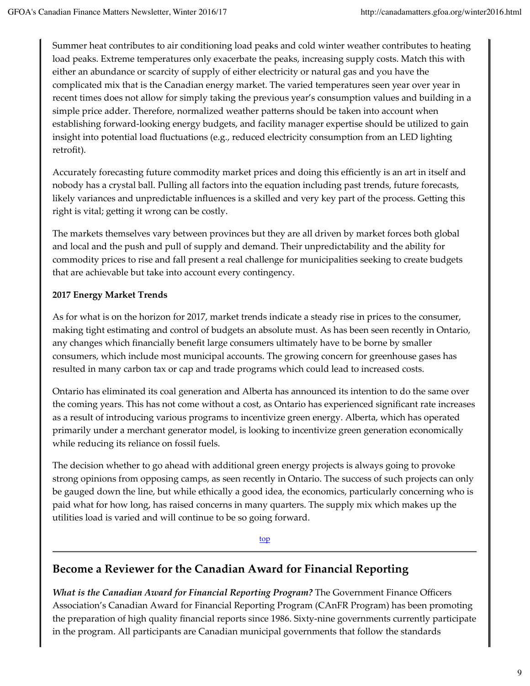Summer heat contributes to air conditioning load peaks and cold winter weather contributes to heating load peaks. Extreme temperatures only exacerbate the peaks, increasing supply costs. Match this with either an abundance or scarcity of supply of either electricity or natural gas and you have the complicated mix that is the Canadian energy market. The varied temperatures seen year over year in recent times does not allow for simply taking the previous year's consumption values and building in a simple price adder. Therefore, normalized weather patterns should be taken into account when establishing forward-looking energy budgets, and facility manager expertise should be utilized to gain insight into potential load fluctuations (e.g., reduced electricity consumption from an LED lighting retrofit).

Accurately forecasting future commodity market prices and doing this efficiently is an art in itself and nobody has a crystal ball. Pulling all factors into the equation including past trends, future forecasts, likely variances and unpredictable influences is a skilled and very key part of the process. Getting this right is vital; getting it wrong can be costly.

The markets themselves vary between provinces but they are all driven by market forces both global and local and the push and pull of supply and demand. Their unpredictability and the ability for commodity prices to rise and fall present a real challenge for municipalities seeking to create budgets that are achievable but take into account every contingency.

#### 2017 Energy Market Trends

As for what is on the horizon for 2017, market trends indicate a steady rise in prices to the consumer, making tight estimating and control of budgets an absolute must. As has been seen recently in Ontario, any changes which financially benefit large consumers ultimately have to be borne by smaller consumers, which include most municipal accounts. The growing concern for greenhouse gases has resulted in many carbon tax or cap and trade programs which could lead to increased costs.

Ontario has eliminated its coal generation and Alberta has announced its intention to do the same over the coming years. This has not come without a cost, as Ontario has experienced significant rate increases as a result of introducing various programs to incentivize green energy. Alberta, which has operated primarily under a merchant generator model, is looking to incentivize green generation economically while reducing its reliance on fossil fuels.

The decision whether to go ahead with additional green energy projects is always going to provoke strong opinions from opposing camps, as seen recently in Ontario. The success of such projects can only be gauged down the line, but while ethically a good idea, the economics, particularly concerning who is paid what for how long, has raised concerns in many quarters. The supply mix which makes up the utilities load is varied and will continue to be so going forward.

top

## Become a Reviewer for the Canadian Award for Financial Reporting

What is the Canadian Award for Financial Reporting Program? The Government Finance Officers Association's Canadian Award for Financial Reporting Program (CAnFR Program) has been promoting the preparation of high quality financial reports since 1986. Sixty-nine governments currently participate in the program. All participants are Canadian municipal governments that follow the standards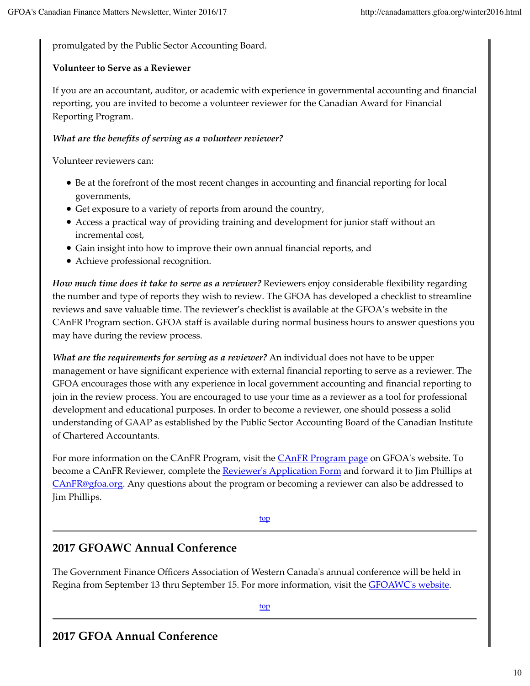promulgated by the Public Sector Accounting Board.

#### **Volunteer to Serve as a Reviewer**

If you are an accountant, auditor, or academic with experience in governmental accounting and financial reporting, you are invited to become a volunteer reviewer for the Canadian Award for Financial Reporting Program.

#### What are the benefits of serving as a volunteer reviewer?

Volunteer reviewers can:

- Be at the forefront of the most recent changes in accounting and financial reporting for local governments,
- Get exposure to a variety of reports from around the country,
- Access a practical way of providing training and development for junior staff without an incremental cost,
- Gain insight into how to improve their own annual financial reports, and
- Achieve professional recognition.

How much time does it take to serve as a reviewer? Reviewers enjoy considerable flexibility regarding the number and type of reports they wish to review. The GFOA has developed a checklist to streamline reviews and save valuable time. The reviewer's checklist is available at the GFOA's website in the CAnFR Program section. GFOA staff is available during normal business hours to answer questions you may have during the review process.

What are the requirements for serving as a reviewer? An individual does not have to be upper management or have significant experience with external financial reporting to serve as a reviewer. The GFOA encourages those with any experience in local government accounting and financial reporting to join in the review process. You are encouraged to use your time as a reviewer as a tool for professional development and educational purposes. In order to become a reviewer, one should possess a solid understanding of GAAP as established by the Public Sector Accounting Board of the Canadian Institute of Chartered Accountants

For more information on the CAnFR Program, visit the CAnFR Program page on GFOA's website. To become a CAnFR Reviewer, complete the **Reviewer's Application Form** and forward it to Jim Phillips at  $CanFR@gfoa.org. Any questions about the program or becoming a reviewer can also be addressed to$ </u> Jim Phillips.

#### top

## 2017 GFOAWC Annual Conference

The Government Finance Officers Association of Western Canada's annual conference will be held in Regina from September 13 thru September 15. For more information, visit the GFOAWC's website.

top